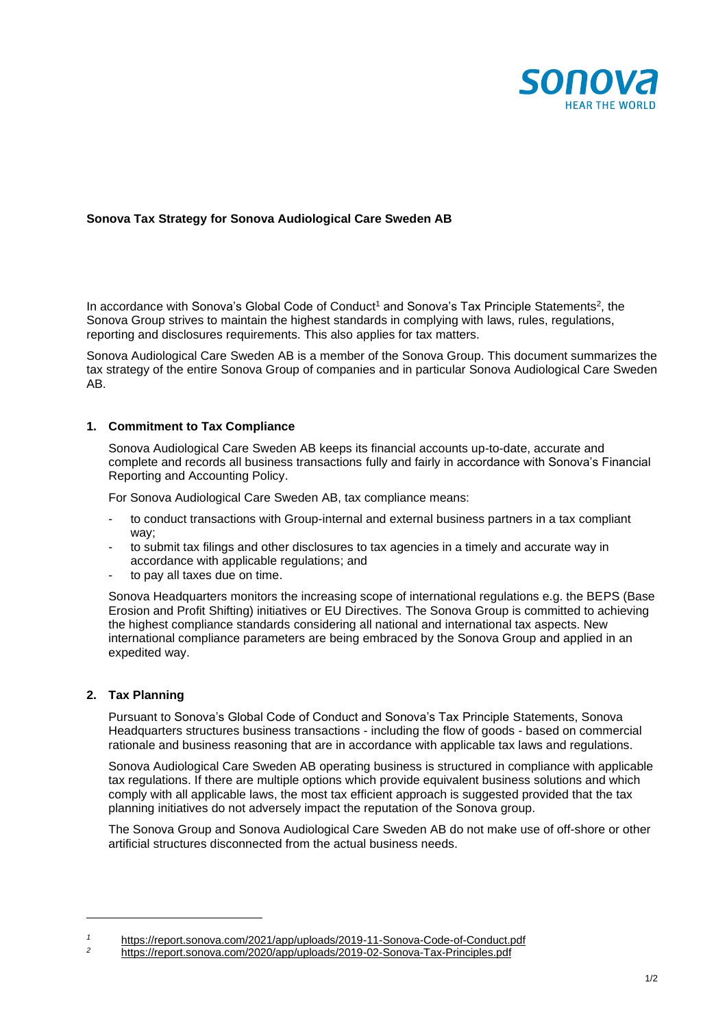

## **Sonova Tax Strategy for Sonova Audiological Care Sweden AB**

In accordance with Sonova's Global Code of Conduct<sup>1</sup> and Sonova's Tax Principle Statements<sup>2</sup>, the Sonova Group strives to maintain the highest standards in complying with laws, rules, regulations, reporting and disclosures requirements. This also applies for tax matters.

Sonova Audiological Care Sweden AB is a member of the Sonova Group. This document summarizes the tax strategy of the entire Sonova Group of companies and in particular Sonova Audiological Care Sweden AB.

### **1. Commitment to Tax Compliance**

Sonova Audiological Care Sweden AB keeps its financial accounts up-to-date, accurate and complete and records all business transactions fully and fairly in accordance with Sonova's Financial Reporting and Accounting Policy.

For Sonova Audiological Care Sweden AB, tax compliance means:

- to conduct transactions with Group-internal and external business partners in a tax compliant way;
- to submit tax filings and other disclosures to tax agencies in a timely and accurate way in accordance with applicable regulations; and
- to pay all taxes due on time.

Sonova Headquarters monitors the increasing scope of international regulations e.g. the BEPS (Base Erosion and Profit Shifting) initiatives or EU Directives. The Sonova Group is committed to achieving the highest compliance standards considering all national and international tax aspects. New international compliance parameters are being embraced by the Sonova Group and applied in an expedited way.

### **2. Tax Planning**

Pursuant to Sonova's Global Code of Conduct and Sonova's Tax Principle Statements, Sonova Headquarters structures business transactions - including the flow of goods - based on commercial rationale and business reasoning that are in accordance with applicable tax laws and regulations.

Sonova Audiological Care Sweden AB operating business is structured in compliance with applicable tax regulations. If there are multiple options which provide equivalent business solutions and which comply with all applicable laws, the most tax efficient approach is suggested provided that the tax planning initiatives do not adversely impact the reputation of the Sonova group.

The Sonova Group and Sonova Audiological Care Sweden AB do not make use of off-shore or other artificial structures disconnected from the actual business needs.

*<sup>1</sup>* <https://report.sonova.com/2021/app/uploads/2019-11-Sonova-Code-of-Conduct.pdf>

*<sup>2</sup>* <https://report.sonova.com/2020/app/uploads/2019-02-Sonova-Tax-Principles.pdf>